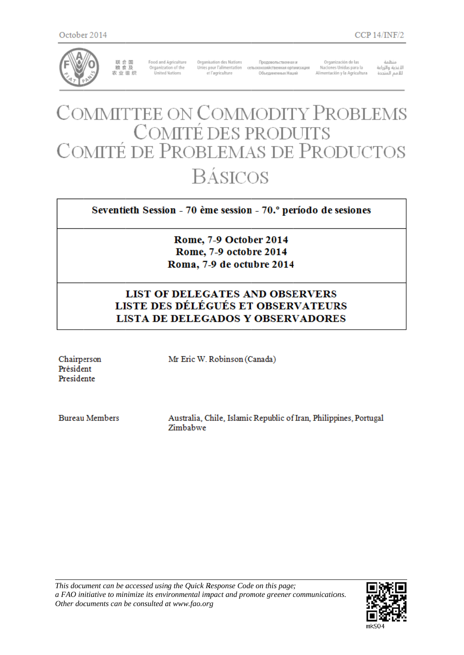

联合国<br>粮食及 农业组织

Food and Agriculture<br>Organization of the **United Nations** 

Organisation des Nations et l'agriculture

Продовольственная и Unies pour l'alimentation сельскохозяйственная организация Объединенных Наций

Organización de las Naciones Unidas para la Alimentación y la Agricultura

منظمة صنعها<br>اللغذية والزراعة<br>لللامم المتددة

# COMMITTEE ON COMMODITY PROBLEMS<br>COMITÉ DES PRODUITS<br>COMITÉ DE PROBLEMAS DE PRODUCTOS **BÁSICOS**

Seventieth Session - 70 ème session - 70.º período de sesiones

Rome, 7-9 October 2014 Rome, 7-9 octobre 2014 Roma, 7-9 de octubre 2014

# **LIST OF DELEGATES AND OBSERVERS** LISTE DES DÉLÉGUÉS ET OBSERVATEURS **LISTA DE DELEGADOS Y OBSERVADORES**

Chairperson Président Presidente

Mr Eric W. Robinson (Canada)

**Bureau Members** 

Australia, Chile, Islamic Republic of Iran, Philippines, Portugal Zimbabwe

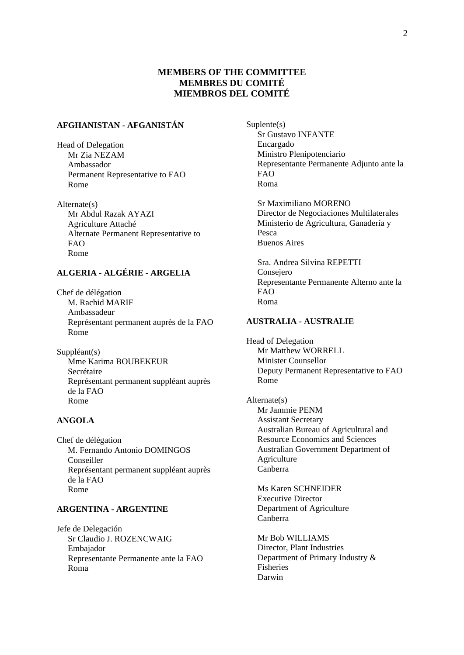# **MEMBERS OF THE COMMITTEE MEMBRES DU COMITÉ MIEMBROS DEL COMITÉ**

# **AFGHANISTAN - AFGANISTÁN**

Head of Delegation Mr Zia NEZAM Ambassador Permanent Representative to FAO Rome

Alternate(s) Mr Abdul Razak AYAZI Agriculture Attaché Alternate Permanent Representative to FAO Rome

# **ALGERIA - ALGÉRIE - ARGELIA**

Chef de délégation M. Rachid MARIF Ambassadeur Représentant permanent auprès de la FAO Rome

Suppléant(s) Mme Karima BOUBEKEUR Secrétaire Représentant permanent suppléant auprès de la FAO Rome

## **ANGOLA**

Chef de délégation M. Fernando Antonio DOMINGOS Conseiller Représentant permanent suppléant auprès de la FAO Rome

## **ARGENTINA - ARGENTINE**

Jefe de Delegación Sr Claudio J. ROZENCWAIG Embajador Representante Permanente ante la FAO Roma

Suplente(s) Sr Gustavo INFANTE Encargado Ministro Plenipotenciario Representante Permanente Adjunto ante la FAO Roma

Sr Maximiliano MORENO Director de Negociaciones Multilaterales Ministerio de Agricultura, Ganadería y Pesca Buenos Aires

Sra. Andrea Silvina REPETTI Consejero Representante Permanente Alterno ante la FAO Roma

#### **AUSTRALIA - AUSTRALIE**

Head of Delegation Mr Matthew WORRELL Minister Counsellor Deputy Permanent Representative to FAO Rome

Alternate(s) Mr Jammie PENM Assistant Secretary Australian Bureau of Agricultural and Resource Economics and Sciences Australian Government Department of Agriculture Canberra

Ms Karen SCHNEIDER Executive Director Department of Agriculture Canberra

Mr Bob WILLIAMS Director, Plant Industries Department of Primary Industry & Fisheries Darwin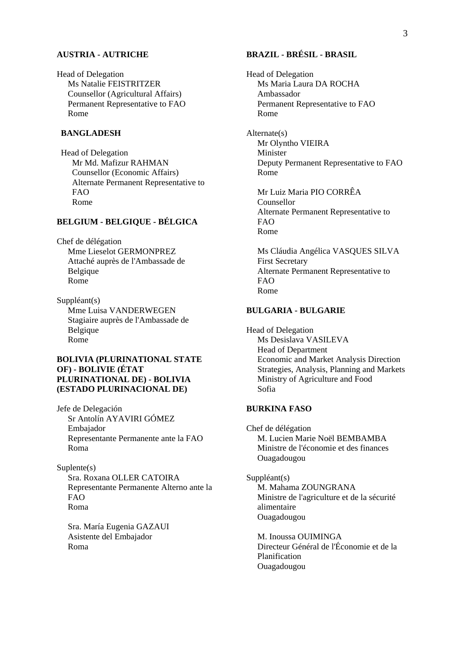#### **AUSTRIA - AUTRICHE**

Head of Delegation Ms Natalie FEISTRITZER Counsellor (Agricultural Affairs) Permanent Representative to FAO Rome

#### **BANGLADESH**

Head of Delegation Mr Md. Mafizur RAHMAN Counsellor (Economic Affairs) Alternate Permanent Representative to FAO Rome

## **BELGIUM - BELGIQUE - BÉLGICA**

Chef de délégation Mme Lieselot GERMONPREZ Attaché auprès de l'Ambassade de Belgique Rome

Suppléant(s) Mme Luisa VANDERWEGEN Stagiaire auprès de l'Ambassade de Belgique Rome

#### **BOLIVIA (PLURINATIONAL STATE OF) - BOLIVIE (ÉTAT PLURINATIONAL DE) - BOLIVIA (ESTADO PLURINACIONAL DE)**

Jefe de Delegación Sr Antolín AYAVIRI GÓMEZ Embajador Representante Permanente ante la FAO Roma

#### Suplente(s) Sra. Roxana OLLER CATOIRA Representante Permanente Alterno ante la FAO Roma

Sra. María Eugenia GAZAUI Asistente del Embajador Roma

# **BRAZIL - BRÉSIL - BRASIL**

Head of Delegation Ms Maria Laura DA ROCHA Ambassador Permanent Representative to FAO Rome

Alternate(s) Mr Olyntho VIEIRA Minister Deputy Permanent Representative to FAO Rome

Mr Luiz Maria PIO CORRÊA Counsellor Alternate Permanent Representative to FAO Rome

Ms Cláudia Angélica VASQUES SILVA First Secretary Alternate Permanent Representative to FAO Rome

#### **BULGARIA - BULGARIE**

Head of Delegation Ms Desislava VASILEVA Head of Department Economic and Market Analysis Direction Strategies, Analysis, Planning and Markets Ministry of Agriculture and Food Sofia

#### **BURKINA FASO**

Chef de délégation M. Lucien Marie Noël BEMBAMBA Ministre de l'économie et des finances Ouagadougou

#### Suppléant(s)

M. Mahama ZOUNGRANA Ministre de l'agriculture et de la sécurité alimentaire Ouagadougou

M. Inoussa OUIMINGA Directeur Général de l'Économie et de la Planification Ouagadougou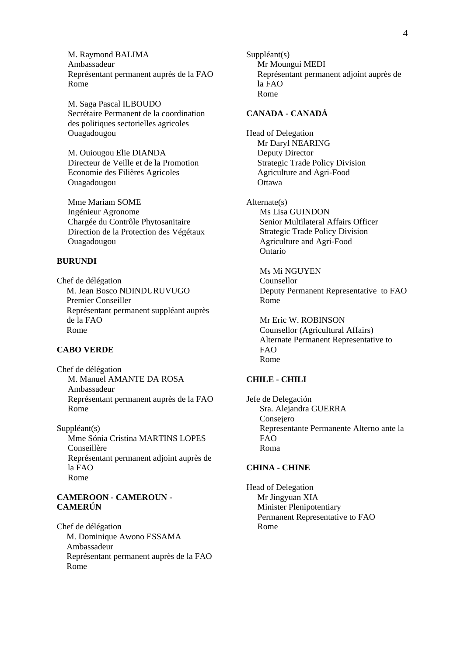M. Raymond BALIMA Ambassadeur Représentant permanent auprès de la FAO Rome

M. Saga Pascal ILBOUDO Secrétaire Permanent de la coordination des politiques sectorielles agricoles Ouagadougou

M. Ouiougou Elie DIANDA Directeur de Veille et de la Promotion Economie des Filières Agricoles Ouagadougou

Mme Mariam SOME Ingénieur Agronome Chargée du Contrôle Phytosanitaire Direction de la Protection des Végétaux Ouagadougou

## **BURUNDI**

Chef de délégation M. Jean Bosco NDINDURUVUGO Premier Conseiller Représentant permanent suppléant auprès de la FAO Rome

#### **CABO VERDE**

Chef de délégation M. Manuel AMANTE DA ROSA Ambassadeur Représentant permanent auprès de la FAO Rome

Suppléant(s) Mme Sónia Cristina MARTINS LOPES Conseillère Représentant permanent adjoint auprès de la FAO Rome

#### **CAMEROON - CAMEROUN - CAMERÚN**

Chef de délégation M. Dominique Awono ESSAMA Ambassadeur Représentant permanent auprès de la FAO Rome

Suppléant(s) Mr Moungui MEDI Représentant permanent adjoint auprès de la FAO Rome

#### **CANADA - CANADÁ**

Head of Delegation Mr Daryl NEARING Deputy Director Strategic Trade Policy Division Agriculture and Agri-Food **Ottawa** 

Alternate(s) Ms Lisa GUINDON Senior Multilateral Affairs Officer Strategic Trade Policy Division Agriculture and Agri-Food Ontario

Ms Mi NGUYEN Counsellor Deputy Permanent Representative to FAO Rome

Mr Eric W. ROBINSON Counsellor (Agricultural Affairs) Alternate Permanent Representative to FAO Rome

## **CHILE - CHILI**

Jefe de Delegación Sra. Alejandra GUERRA Consejero Representante Permanente Alterno ante la FAO Roma

#### **CHINA - CHINE**

Head of Delegation Mr Jingyuan XIA Minister Plenipotentiary Permanent Representative to FAO Rome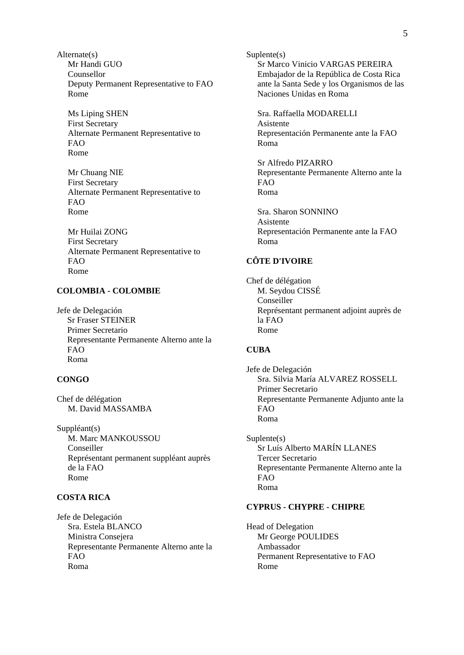Alternate(s) Mr Handi GUO Counsellor Deputy Permanent Representative to FAO Rome

Ms Liping SHEN First Secretary Alternate Permanent Representative to FAO Rome

Mr Chuang NIE First Secretary Alternate Permanent Representative to  $FAO$ Rome

Mr Huilai ZONG First Secretary Alternate Permanent Representative to FAO Rome

## **COLOMBIA - COLOMBIE**

Jefe de Delegación Sr Fraser STEINER Primer Secretario Representante Permanente Alterno ante la FAO Roma

## **CONGO**

Chef de délégation M. David MASSAMBA

Suppléant(s) M. Marc MANKOUSSOU Conseiller Représentant permanent suppléant auprès de la FAO Rome

# **COSTA RICA**

Jefe de Delegación Sra. Estela BLANCO Ministra Consejera Representante Permanente Alterno ante la FAO Roma

Suplente(s) Sr Marco Vinicio VARGAS PEREIRA Embajador de la República de Costa Rica ante la Santa Sede y los Organismos de las Naciones Unidas en Roma

Sra. Raffaella MODARELLI Asistente Representación Permanente ante la FAO Roma

Sr Alfredo PIZARRO Representante Permanente Alterno ante la FAO Roma

Sra. Sharon SONNINO Asistente Representación Permanente ante la FAO Roma

# **CÔTE D'IVOIRE**

Chef de délégation M. Seydou CISSÉ Conseiller Représentant permanent adjoint auprès de la FAO Rome

#### **CUBA**

Jefe de Delegación Sra. Silvia María ALVAREZ ROSSELL Primer Secretario Representante Permanente Adjunto ante la FAO Roma

Suplente(s) Sr Luís Alberto MARÍN LLANES Tercer Secretario Representante Permanente Alterno ante la FAO Roma

#### **CYPRUS - CHYPRE - CHIPRE**

Head of Delegation Mr George POULIDES Ambassador Permanent Representative to FAO Rome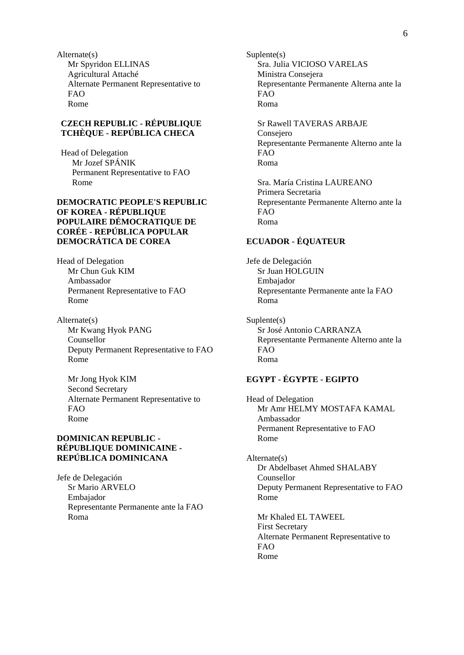Alternate(s) Mr Spyridon ELLINAS Agricultural Attaché Alternate Permanent Representative to FAO Rome

#### **CZECH REPUBLIC - RÉPUBLIQUE TCHÈQUE - REPÚBLICA CHECA**

Head of Delegation Mr Jozef SPÁNIK Permanent Representative to FAO Rome

#### **DEMOCRATIC PEOPLE'S REPUBLIC OF KOREA - RÉPUBLIQUE POPULAIRE DÉMOCRATIQUE DE CORÉE - REPÚBLICA POPULAR DEMOCRÁTICA DE COREA**

Head of Delegation Mr Chun Guk KIM Ambassador Permanent Representative to FAO Rome

Alternate(s) Mr Kwang Hyok PANG Counsellor Deputy Permanent Representative to FAO Rome

Mr Jong Hyok KIM Second Secretary Alternate Permanent Representative to FAO Rome

#### **DOMINICAN REPUBLIC - RÉPUBLIQUE DOMINICAINE - REPÚBLICA DOMINICANA**

Jefe de Delegación Sr Mario ARVELO Embajador Representante Permanente ante la FAO Roma

Suplente(s) Sra. Julia VICIOSO VARELAS Ministra Consejera Representante Permanente Alterna ante la FAO Roma

Sr Rawell TAVERAS ARBAJE Consejero Representante Permanente Alterno ante la FAO Roma

Sra. María Cristina LAUREANO Primera Secretaria Representante Permanente Alterno ante la FAO Roma

# **ECUADOR - ÉQUATEUR**

Jefe de Delegación Sr Juan HOLGUIN Embajador Representante Permanente ante la FAO Roma

Suplente(s) Sr José Antonio CARRANZA Representante Permanente Alterno ante la FAO Roma

# **EGYPT - ÉGYPTE - EGIPTO**

Head of Delegation Mr Amr HELMY MOSTAFA KAMAL Ambassador Permanent Representative to FAO Rome

Alternate(s) Dr Abdelbaset Ahmed SHALABY Counsellor Deputy Permanent Representative to FAO Rome

Mr Khaled EL TAWEEL First Secretary Alternate Permanent Representative to FAO Rome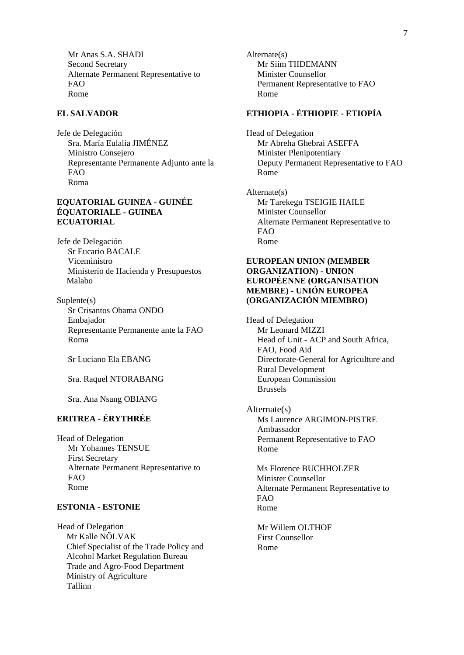Mr Anas S.A. SHADI Second Secretary Alternate Permanent Representative to FAO Rome

#### **EL SALVADOR**

Jefe de Delegación Sra. María Eulalia JIMÉNEZ Ministro Consejero Representante Permanente Adjunto ante la FAO Roma

#### **EQUATORIAL GUINEA - GUINÉE ÉQUATORIALE - GUINEA ECUATORIAL**

Jefe de Delegación Sr Eucario BACALE Viceministro Ministerio de Hacienda y Presupuestos Malabo

Suplente(s) Sr Crisantos Obama ONDO Embajador Representante Permanente ante la FAO Roma

Sr Luciano Ela EBANG

Sra. Raquel NTORABANG

Sra. Ana Nsang OBIANG

# **ERITREA - ÉRYTHRÉE**

Head of Delegation Mr Yohannes TENSUE First Secretary Alternate Permanent Representative to FAO Rome

#### **ESTONIA - ESTONIE**

Head of Delegation Mr Kalle NÕLVAK Chief Specialist of the Trade Policy and Alcohol Market Regulation Bureau Trade and Agro-Food Department Ministry of Agriculture Tallinn

Alternate(s) Mr Siim TIIDEMANN Minister Counsellor Permanent Representative to FAO Rome

## **ETHIOPIA - ÉTHIOPIE - ETIOPÍA**

Head of Delegation Mr Abreha Ghebrai ASEFFA Minister Plenipotentiary Deputy Permanent Representative to FAO Rome

Alternate(s) Mr Tarekegn TSEIGIE HAILE Minister Counsellor Alternate Permanent Representative to FAO Rome

#### **EUROPEAN UNION (MEMBER ORGANIZATION) - UNION EUROPÉENNE (ORGANISATION MEMBRE) - UNIÓN EUROPEA (ORGANIZACIÓN MIEMBRO)**

Head of Delegation Mr Leonard MIZZI Head of Unit - ACP and South Africa, FAO, Food Aid Directorate-General for Agriculture and Rural Development European Commission Brussels

Alternate(s) Ms Laurence ARGIMON-PISTRE Ambassador Permanent Representative to FAO Rome

Ms Florence BUCHHOLZER Minister Counsellor Alternate Permanent Representative to FAO Rome

Mr Willem OLTHOF First Counsellor Rome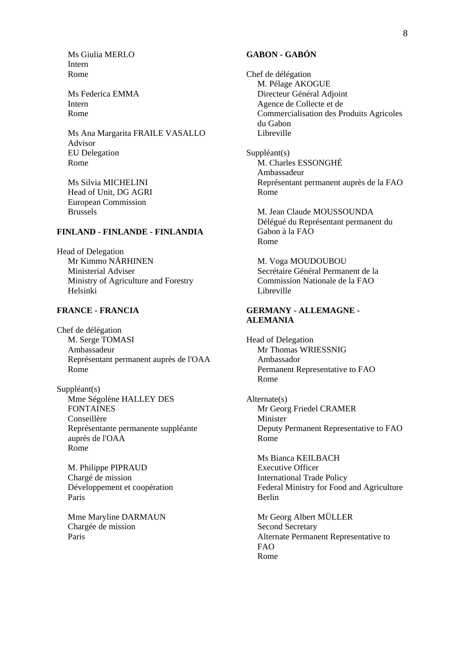Ms Giulia MERLO Intern Rome

Ms Federica EMMA Intern Rome

Ms Ana Margarita FRAILE VASALLO Advisor EU Delegation Rome

Ms Silvia MICHELINI Head of Unit, DG AGRI European Commission Brussels

#### **FINLAND - FINLANDE - FINLANDIA**

Head of Delegation Mr Kimmo NÄRHINEN Ministerial Adviser Ministry of Agriculture and Forestry Helsinki

#### **FRANCE - FRANCIA**

Chef de délégation M. Serge TOMASI Ambassadeur Représentant permanent auprès de l'OAA Rome

Suppléant(s) Mme Ségolène HALLEY DES FONTAINES Conseillère Représentante permanente suppléante auprès de l'OAA Rome

M. Philippe PIPRAUD Chargé de mission Développement et coopération Paris

Mme Maryline DARMAUN Chargée de mission Paris

#### **GABON - GABÓN**

Chef de délégation M. Pélage AKOGUE Directeur Général Adjoint Agence de Collecte et de Commercialisation des Produits Agricoles du Gabon Libreville

Suppléant(s) M. Charles ESSONGHÉ Ambassadeur Représentant permanent auprès de la FAO Rome

M. Jean Claude MOUSSOUNDA Délégué du Représentant permanent du Gabon à la FAO Rome

M. Voga MOUDOUBOU Secrétaire Général Permanent de la Commission Nationale de la FAO Libreville

#### **GERMANY - ALLEMAGNE - ALEMANIA**

Head of Delegation Mr Thomas WRIESSNIG Ambassador Permanent Representative to FAO Rome

Alternate(s) Mr Georg Friedel CRAMER Minister Deputy Permanent Representative to FAO Rome

Ms Bianca KEILBACH Executive Officer International Trade Policy Federal Ministry for Food and Agriculture Berlin

Mr Georg Albert MÜLLER Second Secretary Alternate Permanent Representative to FAO Rome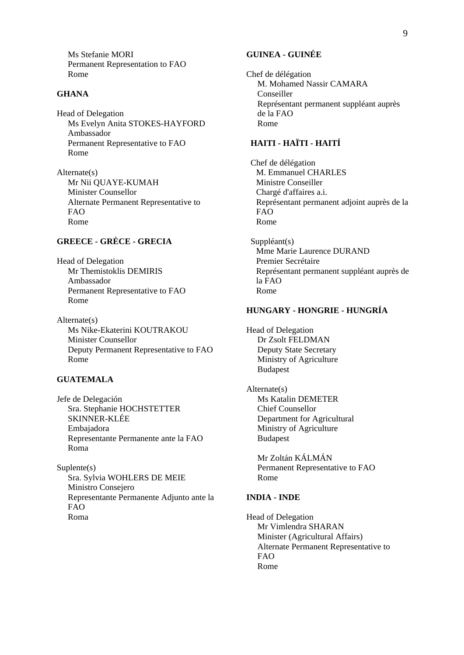Ms Stefanie MORI Permanent Representation to FAO Rome

#### **GHANA**

Head of Delegation Ms Evelyn Anita STOKES-HAYFORD Ambassador Permanent Representative to FAO Rome

Alternate(s) Mr Nii QUAYE-KUMAH Minister Counsellor Alternate Permanent Representative to FAO Rome

# **GREECE - GRÈCE - GRECIA**

Head of Delegation Mr Themistoklis DEMIRIS Ambassador Permanent Representative to FAO Rome

Alternate(s) Ms Nike-Ekaterini KOUTRAKOU Minister Counsellor Deputy Permanent Representative to FAO Rome

# **GUATEMALA**

Jefe de Delegación Sra. Stephanie HOCHSTETTER SKINNER-KLÉE Embajadora Representante Permanente ante la FAO Roma

Suplente(s) Sra. Sylvia WOHLERS DE MEIE Ministro Consejero Representante Permanente Adjunto ante la FAO Roma

# **GUINEA - GUINÉE**

Chef de délégation M. Mohamed Nassir CAMARA Conseiller Représentant permanent suppléant auprès de la FAO Rome

# **HAITI - HAÏTI - HAITÍ**

Chef de délégation M. Emmanuel CHARLES Ministre Conseiller Chargé d'affaires a.i. Représentant permanent adjoint auprès de la FAO Rome

Suppléant(s) Mme Marie Laurence DURAND Premier Secrétaire Représentant permanent suppléant auprès de la FAO Rome

#### **HUNGARY - HONGRIE - HUNGRÍA**

Head of Delegation Dr Zsolt FELDMAN Deputy State Secretary Ministry of Agriculture Budapest

Alternate(s) Ms Katalin DEMETER Chief Counsellor Department for Agricultural Ministry of Agriculture Budapest

> Mr Zoltán KÁLMÁN Permanent Representative to FAO Rome

#### **INDIA - INDE**

Head of Delegation Mr Vimlendra SHARAN Minister (Agricultural Affairs) Alternate Permanent Representative to FAO Rome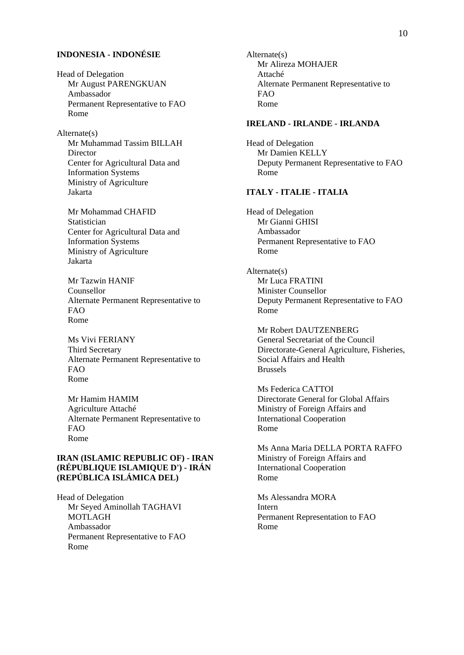## **INDONESIA - INDONÉSIE**

Head of Delegation Mr August PARENGKUAN Ambassador Permanent Representative to FAO Rome

#### Alternate(s)

Mr Muhammad Tassim BILLAH **Director** Center for Agricultural Data and Information Systems Ministry of Agriculture Jakarta

Mr Mohammad CHAFID **Statistician** Center for Agricultural Data and Information Systems Ministry of Agriculture Jakarta

Mr Tazwin HANIF Counsellor Alternate Permanent Representative to FAO Rome

Ms Vivi FERIANY Third Secretary Alternate Permanent Representative to FAO Rome

Mr Hamim HAMIM Agriculture Attaché Alternate Permanent Representative to FAO Rome

## **IRAN (ISLAMIC REPUBLIC OF) - IRAN (RÉPUBLIQUE ISLAMIQUE D') - IRÁN (REPÚBLICA ISLÁMICA DEL)**

Head of Delegation Mr Seyed Aminollah TAGHAVI MOTLAGH Ambassador Permanent Representative to FAO Rome

Alternate(s) Mr Alireza MOHAJER Attaché Alternate Permanent Representative to FAO Rome

# **IRELAND - IRLANDE - IRLANDA**

Head of Delegation Mr Damien KELLY Deputy Permanent Representative to FAO Rome

#### **ITALY - ITALIE - ITALIA**

Head of Delegation Mr Gianni GHISI Ambassador Permanent Representative to FAO Rome

Alternate(s) Mr Luca FRATINI Minister Counsellor Deputy Permanent Representative to FAO Rome

Mr Robert DAUTZENBERG General Secretariat of the Council Directorate-General Agriculture, Fisheries, Social Affairs and Health Brussels

Ms Federica CATTOI Directorate General for Global Affairs Ministry of Foreign Affairs and International Cooperation Rome

Ms Anna Maria DELLA PORTA RAFFO Ministry of Foreign Affairs and International Cooperation Rome

Ms Alessandra MORA Intern Permanent Representation to FAO Rome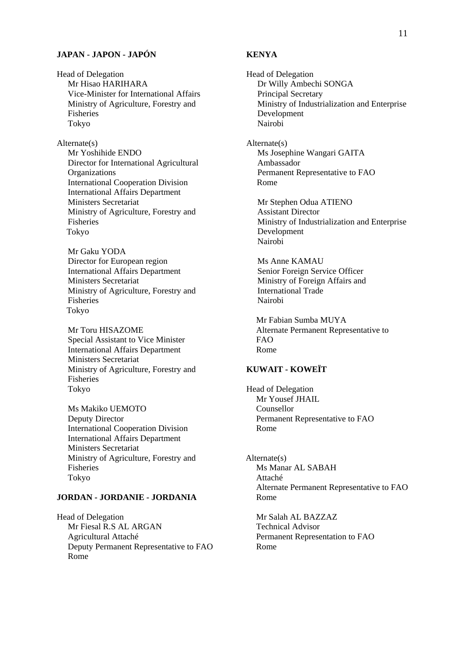#### **JAPAN - JAPON - JAPÓN**

Head of Delegation Mr Hisao HARIHARA Vice-Minister for International Affairs Ministry of Agriculture, Forestry and Fisheries Tokyo

Alternate(s) Mr Yoshihide ENDO Director for International Agricultural **Organizations** International Cooperation Division International Affairs Department Ministers Secretariat Ministry of Agriculture, Forestry and Fisheries Tokyo

Mr Gaku YODA Director for European region International Affairs Department Ministers Secretariat Ministry of Agriculture, Forestry and Fisheries Tokyo

Mr Toru HISAZOME Special Assistant to Vice Minister International Affairs Department Ministers Secretariat Ministry of Agriculture, Forestry and Fisheries Tokyo

Ms Makiko UEMOTO Deputy Director International Cooperation Division International Affairs Department Ministers Secretariat Ministry of Agriculture, Forestry and Fisheries Tokyo

# **JORDAN - JORDANIE - JORDANIA**

Head of Delegation Mr Fiesal R.S AL ARGAN Agricultural Attaché Deputy Permanent Representative to FAO Rome

#### **KENYA**

Head of Delegation Dr Willy Ambechi SONGA Principal Secretary Ministry of Industrialization and Enterprise Development Nairobi Alternate(s) Ms Josephine Wangari GAITA Ambassador Permanent Representative to FAO Rome Mr Stephen Odua ATIENO Assistant Director Ministry of Industrialization and Enterprise Development Nairobi Ms Anne KAMAU Senior Foreign Service Officer Ministry of Foreign Affairs and International Trade Nairobi Mr Fabian Sumba MUYA Alternate Permanent Representative to FAO Rome

#### **KUWAIT - KOWEÏT**

Head of Delegation Mr Yousef JHAIL Counsellor Permanent Representative to FAO Rome

Alternate(s) Ms Manar AL SABAH Attaché Alternate Permanent Representative to FAO Rome

Mr Salah AL BAZZAZ Technical Advisor Permanent Representation to FAO Rome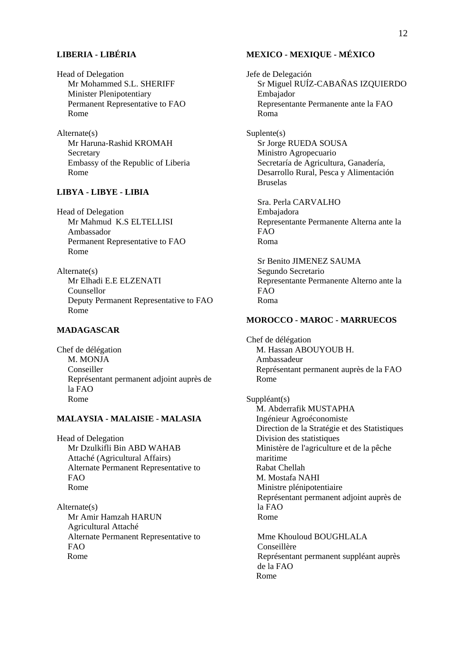# **LIBERIA - LIBÉRIA**

Head of Delegation Mr Mohammed S.L. SHERIFF Minister Plenipotentiary Permanent Representative to FAO Rome

Alternate(s) Mr Haruna-Rashid KROMAH **Secretary** Embassy of the Republic of Liberia Rome

## **LIBYA - LIBYE - LIBIA**

Head of Delegation Mr Mahmud K.S ELTELLISI Ambassador Permanent Representative to FAO Rome

Alternate(s) Mr Elhadi E.E ELZENATI Counsellor Deputy Permanent Representative to FAO Rome

## **MADAGASCAR**

Chef de délégation M. MONJA Conseiller Représentant permanent adjoint auprès de la FAO Rome

#### **MALAYSIA - MALAISIE - MALASIA**

Head of Delegation Mr Dzulkifli Bin ABD WAHAB Attaché (Agricultural Affairs) Alternate Permanent Representative to FAO Rome

Alternate(s) Mr Amir Hamzah HARUN Agricultural Attaché Alternate Permanent Representative to FAO Rome

## **MEXICO - MEXIQUE - MÉXICO**

Jefe de Delegación Sr Miguel RUÍZ-CABAÑAS IZQUIERDO Embajador Representante Permanente ante la FAO Roma

Suplente(s) Sr Jorge RUEDA SOUSA Ministro Agropecuario Secretaría de Agricultura, Ganadería, Desarrollo Rural, Pesca y Alimentación Bruselas

Sra. Perla CARVALHO Embajadora Representante Permanente Alterna ante la FAO Roma

Sr Benito JIMENEZ SAUMA Segundo Secretario Representante Permanente Alterno ante la FAO Roma

# **MOROCCO - MAROC - MARRUECOS**

Chef de délégation M. Hassan ABOUYOUB H. Ambassadeur Représentant permanent auprès de la FAO Rome

Suppléant(s) M. Abderrafik MUSTAPHA Ingénieur Agroéconomiste Direction de la Stratégie et des Statistiques Division des statistiques Ministère de l'agriculture et de la pêche maritime Rabat Chellah M. Mostafa NAHI Ministre plénipotentiaire Représentant permanent adjoint auprès de la FAO Rome

Mme Khouloud BOUGHLALA Conseillère Représentant permanent suppléant auprès de la FAO Rome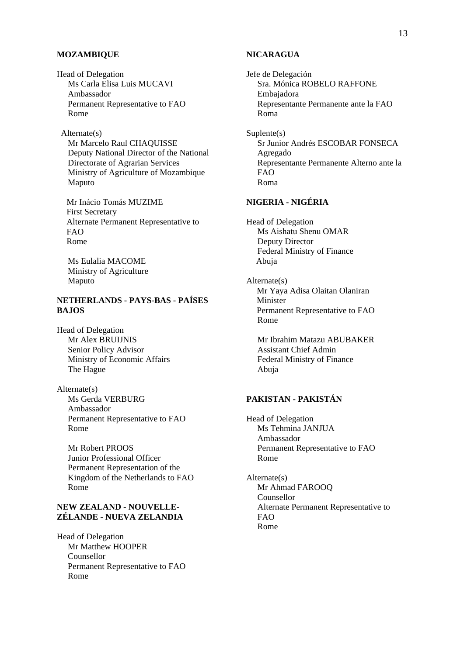#### **MOZAMBIQUE**

Head of Delegation Ms Carla Elisa Luis MUCAVI Ambassador Permanent Representative to FAO Rome

#### Alternate(s)

Mr Marcelo Raul CHAQUISSE Deputy National Director of the National Directorate of Agrarian Services Ministry of Agriculture of Mozambique Maputo

Mr Inácio Tomás MUZIME First Secretary Alternate Permanent Representative to FAO Rome

Ms Eulalia MACOME Ministry of Agriculture Maputo

# **NETHERLANDS - PAYS-BAS - PAÍSES BAJOS**

Head of Delegation Mr Alex BRUIJNIS Senior Policy Advisor Ministry of Economic Affairs The Hague

Alternate(s) Ms Gerda VERBURG Ambassador Permanent Representative to FAO Rome

Mr Robert PROOS Junior Professional Officer Permanent Representation of the Kingdom of the Netherlands to FAO Rome

#### **NEW ZEALAND - NOUVELLE-ZÉLANDE - NUEVA ZELANDIA**

Head of Delegation Mr Matthew HOOPER Counsellor Permanent Representative to FAO Rome

#### **NICARAGUA**

Jefe de Delegación Sra. Mónica ROBELO RAFFONE Embajadora Representante Permanente ante la FAO Roma Suplente(s) Sr Junior Andrés ESCOBAR FONSECA Agregado Representante Permanente Alterno ante la FAO

Roma

# **NIGERIA - NIGÉRIA**

Head of Delegation Ms Aishatu Shenu OMAR Deputy Director Federal Ministry of Finance Abuja

Alternate(s) Mr Yaya Adisa Olaitan Olaniran Minister Permanent Representative to FAO Rome

Mr Ibrahim Matazu ABUBAKER Assistant Chief Admin Federal Ministry of Finance Abuja

# **PAKISTAN - PAKISTÁN**

Head of Delegation Ms Tehmina JANJUA Ambassador Permanent Representative to FAO Rome

Alternate(s) Mr Ahmad FAROOQ Counsellor Alternate Permanent Representative to FAO Rome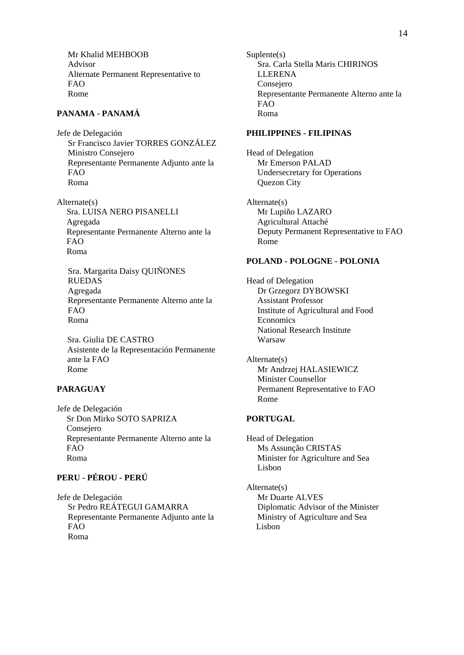Mr Khalid MEHBOOB Advisor Alternate Permanent Representative to FAO Rome

# **PANAMA - PANAMÁ**

Jefe de Delegación Sr Francisco Javier TORRES GONZÁLEZ Ministro Consejero Representante Permanente Adjunto ante la FAO Roma

Alternate(s) Sra. LUISA NERO PISANELLI Agregada Representante Permanente Alterno ante la FAO Roma

Sra. Margarita Daisy QUIÑONES RUEDAS Agregada Representante Permanente Alterno ante la FAO Roma

Sra. Giulia DE CASTRO Asistente de la Representación Permanente ante la FAO Rome

## **PARAGUAY**

Jefe de Delegación Sr Don Mirko SOTO SAPRIZA Consejero Representante Permanente Alterno ante la FAO Roma

# **PERU - PÉROU - PERÚ**

Jefe de Delegación Sr Pedro REÁTEGUI GAMARRA Representante Permanente Adjunto ante la FAO Roma

Suplente(s) Sra. Carla Stella Maris CHIRINOS **LLERENA** Consejero Representante Permanente Alterno ante la FAO Roma

#### **PHILIPPINES - FILIPINAS**

Head of Delegation Mr Emerson PALAD Undersecretary for Operations Quezon City

Alternate(s) Mr Lupiño LAZARO Agricultural Attaché Deputy Permanent Representative to FAO Rome

# **POLAND - POLOGNE - POLONIA**

Head of Delegation Dr Grzegorz DYBOWSKI Assistant Professor Institute of Agricultural and Food **Economics** National Research Institute Warsaw

Alternate(s) Mr Andrzej HALASIEWICZ Minister Counsellor Permanent Representative to FAO Rome

#### **PORTUGAL**

Head of Delegation Ms Assunção CRISTAS Minister for Agriculture and Sea Lisbon

Alternate(s) Mr Duarte ALVES Diplomatic Advisor of the Minister Ministry of Agriculture and Sea Lisbon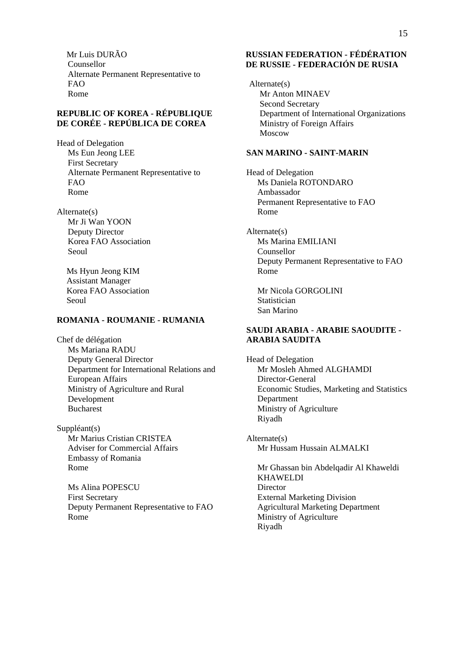Mr Luis DURÃO Counsellor Alternate Permanent Representative to FAO Rome

## **REPUBLIC OF KOREA - RÉPUBLIQUE DE CORÉE - REPÚBLICA DE COREA**

Head of Delegation Ms Eun Jeong LEE First Secretary Alternate Permanent Representative to FAO Rome

Alternate(s) Mr Ji Wan YOON Deputy Director Korea FAO Association Seoul

> Ms Hyun Jeong KIM Assistant Manager Korea FAO Association Seoul

## **ROMANIA - ROUMANIE - RUMANIA**

Chef de délégation Ms Mariana RADU Deputy General Director Department for International Relations and European Affairs Ministry of Agriculture and Rural Development Bucharest

Suppléant(s) Mr Marius Cristian CRISTEA Adviser for Commercial Affairs Embassy of Romania Rome

Ms Alina POPESCU First Secretary Deputy Permanent Representative to FAO Rome

## **RUSSIAN FEDERATION - FÉDÉRATION DE RUSSIE - FEDERACIÓN DE RUSIA**

Alternate(s) Mr Anton MINAEV Second Secretary Department of International Organizations Ministry of Foreign Affairs Moscow

#### **SAN MARINO - SAINT-MARIN**

Head of Delegation Ms Daniela ROTONDARO Ambassador Permanent Representative to FAO Rome

Alternate(s) Ms Marina EMILIANI Counsellor Deputy Permanent Representative to FAO Rome

Mr Nicola GORGOLINI **Statistician** San Marino

## **SAUDI ARABIA - ARABIE SAOUDITE - ARABIA SAUDITA**

Head of Delegation Mr Mosleh Ahmed ALGHAMDI Director-General Economic Studies, Marketing and Statistics Department Ministry of Agriculture Riyadh

Alternate(s) Mr Hussam Hussain ALMALKI

Mr Ghassan bin Abdelqadir Al Khaweldi KHAWELDI **Director** External Marketing Division Agricultural Marketing Department Ministry of Agriculture Riyadh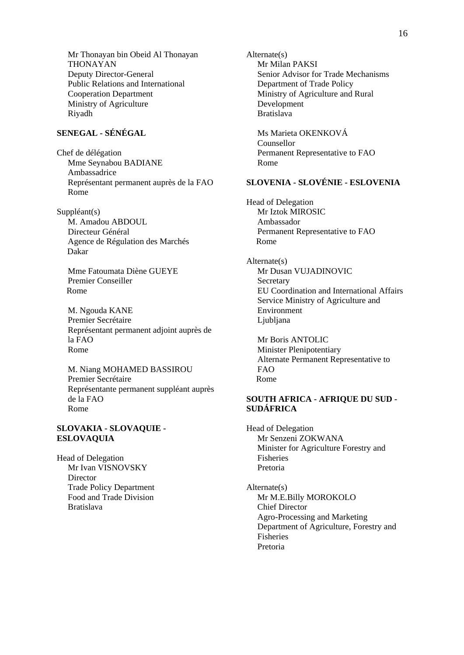Mr Thonayan bin Obeid Al Thonayan THONAYAN Deputy Director-General Public Relations and International Cooperation Department Ministry of Agriculture Riyadh

# **SENEGAL - SÉNÉGAL**

Chef de délégation Mme Seynabou BADIANE Ambassadrice Représentant permanent auprès de la FAO Rome

Suppléant(s) M. Amadou ABDOUL Directeur Général Agence de Régulation des Marchés Dakar

Mme Fatoumata Diène GUEYE Premier Conseiller Rome

M. Ngouda KANE Premier Secrétaire Représentant permanent adjoint auprès de la FAO Rome

M. Niang MOHAMED BASSIROU Premier Secrétaire Représentante permanent suppléant auprès de la FAO Rome

#### **SLOVAKIA - SLOVAQUIE - ESLOVAQUIA**

Head of Delegation Mr Ivan VISNOVSKY Director Trade Policy Department Food and Trade Division Bratislava

Alternate(s) Mr Milan PAKSI Senior Advisor for Trade Mechanisms Department of Trade Policy Ministry of Agriculture and Rural Development Bratislava Ms Marieta OKENKOVÁ Counsellor Permanent Representative to FAO Rome **SLOVENIA - SLOVÉNIE - ESLOVENIA**  Head of Delegation Mr Iztok MIROSIC Ambassador Permanent Representative to FAO Rome Alternate(s) Mr Dusan VUJADINOVIC **Secretary** EU Coordination and International Affairs Service Ministry of Agriculture and Environment Ljubljana Mr Boris ANTOLIC Minister Plenipotentiary Alternate Permanent Representative to FAO

#### **SOUTH AFRICA - AFRIQUE DU SUD - SUDÁFRICA**

Rome

Head of Delegation Mr Senzeni ZOKWANA Minister for Agriculture Forestry and Fisheries Pretoria

Alternate(s) Mr M.E.Billy MOROKOLO Chief Director Agro-Processing and Marketing Department of Agriculture, Forestry and Fisheries Pretoria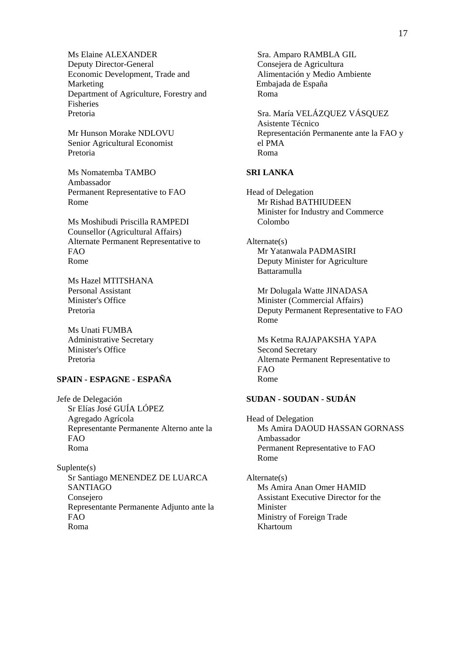Ms Elaine ALEXANDER Deputy Director-General Economic Development, Trade and Marketing Department of Agriculture, Forestry and Fisheries Pretoria

Mr Hunson Morake NDLOVU Senior Agricultural Economist Pretoria

Ms Nomatemba TAMBO Ambassador Permanent Representative to FAO Rome

Ms Moshibudi Priscilla RAMPEDI Counsellor (Agricultural Affairs) Alternate Permanent Representative to FAO Rome

Ms Hazel MTITSHANA Personal Assistant Minister's Office Pretoria

Ms Unati FUMBA Administrative Secretary Minister's Office Pretoria

# **SPAIN - ESPAGNE - ESPAÑA**

Jefe de Delegación Sr Elías José GUÍA LÓPEZ Agregado Agrícola Representante Permanente Alterno ante la FAO Roma

Suplente(s) Sr Santiago MENENDEZ DE LUARCA SANTIAGO Consejero Representante Permanente Adjunto ante la  $FAO$ Roma

Sra. Amparo RAMBLA GIL Consejera de Agricultura Alimentación y Medio Ambiente Embajada de España Roma

Sra. María VELÁZQUEZ VÁSQUEZ Asistente Técnico Representación Permanente ante la FAO y el PMA Roma

#### **SRI LANKA**

Head of Delegation Mr Rishad BATHIUDEEN Minister for Industry and Commerce Colombo

Alternate(s) Mr Yatanwala PADMASIRI Deputy Minister for Agriculture Battaramulla

Mr Dolugala Watte JINADASA Minister (Commercial Affairs) Deputy Permanent Representative to FAO Rome

Ms Ketma RAJAPAKSHA YAPA Second Secretary Alternate Permanent Representative to FAO Rome

# **SUDAN - SOUDAN - SUDÁN**

Head of Delegation Ms Amira DAOUD HASSAN GORNASS Ambassador Permanent Representative to FAO Rome

Alternate(s) Ms Amira Anan Omer HAMID Assistant Executive Director for the Minister Ministry of Foreign Trade Khartoum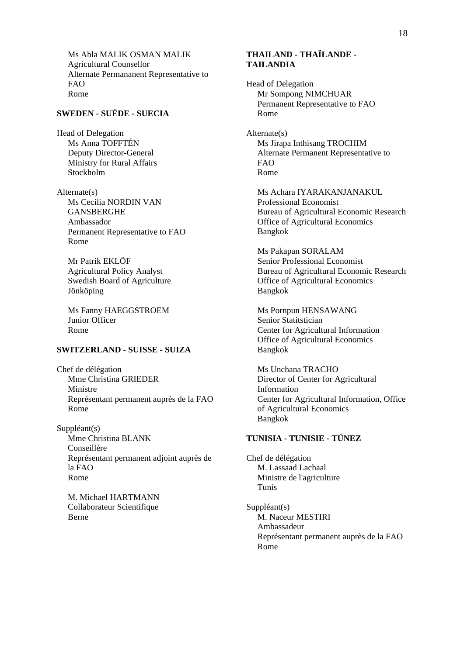Ms Abla MALIK OSMAN MALIK Agricultural Counsellor Alternate Permananent Representative to FAO Rome

# **SWEDEN - SUÈDE - SUECIA**

Head of Delegation Ms Anna TOFFTÉN Deputy Director-General Ministry for Rural Affairs Stockholm

Alternate(s) Ms Cecilia NORDIN VAN **GANSBERGHE** Ambassador Permanent Representative to FAO Rome

Mr Patrik EKLÖF Agricultural Policy Analyst Swedish Board of Agriculture Jönköping

Ms Fanny HAEGGSTROEM Junior Officer Rome

#### **SWITZERLAND - SUISSE - SUIZA**

Chef de délégation Mme Christina GRIEDER Ministre Représentant permanent auprès de la FAO Rome

Suppléant(s) Mme Christina BLANK Conseillère Représentant permanent adjoint auprès de la FAO Rome

M. Michael HARTMANN Collaborateur Scientifique Berne

## **THAILAND - THAÏLANDE - TAILANDIA**

Head of Delegation Mr Sompong NIMCHUAR Permanent Representative to FAO Rome

Alternate(s) Ms Jirapa Inthisang TROCHIM Alternate Permanent Representative to FAO Rome

Ms Achara IYARAKANJANAKUL Professional Economist Bureau of Agricultural Economic Research Office of Agricultural Economics Bangkok

Ms Pakapan SORALAM Senior Professional Economist Bureau of Agricultural Economic Research Office of Agricultural Economics Bangkok

Ms Pornpun HENSAWANG Senior Statitstician Center for Agricultural Information Office of Agricultural Economics Bangkok

Ms Unchana TRACHO Director of Center for Agricultural Information Center for Agricultural Information, Office of Agricultural Economics Bangkok

# **TUNISIA - TUNISIE - TÚNEZ**

Chef de délégation M. Lassaad Lachaal Ministre de l'agriculture Tunis

Suppléant(s) M. Naceur MESTIRI Ambassadeur Représentant permanent auprès de la FAO Rome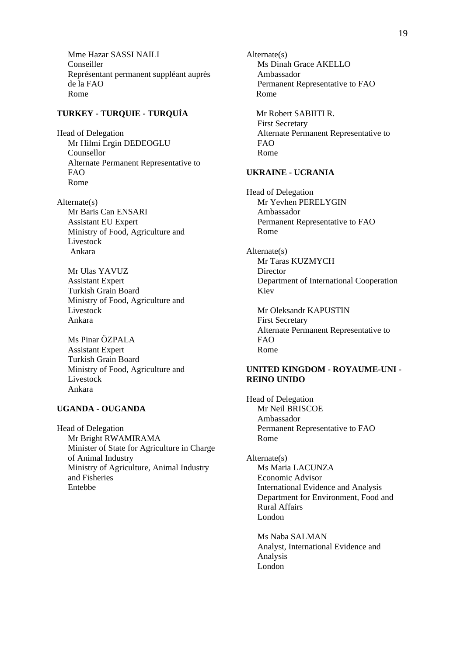Mme Hazar SASSI NAILI Conseiller Représentant permanent suppléant auprès de la FAO Rome

## **TURKEY - TURQUIE - TURQUÍA**

Head of Delegation Mr Hilmi Ergin DEDEOGLU Counsellor Alternate Permanent Representative to FAO Rome

Alternate(s) Mr Baris Can ENSARI Assistant EU Expert Ministry of Food, Agriculture and Livestock Ankara

Mr Ulas YAVUZ Assistant Expert Turkish Grain Board Ministry of Food, Agriculture and Livestock Ankara

Ms Pinar ÖZPALA Assistant Expert Turkish Grain Board Ministry of Food, Agriculture and Livestock Ankara

#### **UGANDA - OUGANDA**

Head of Delegation Mr Bright RWAMIRAMA Minister of State for Agriculture in Charge of Animal Industry Ministry of Agriculture, Animal Industry and Fisheries Entebbe

Alternate(s) Ms Dinah Grace AKELLO Ambassador Permanent Representative to FAO Rome Mr Robert SABIITI R. First Secretary Alternate Permanent Representative to FAO Rome

#### **UKRAINE - UCRANIA**

Head of Delegation Mr Yevhen PERELYGIN Ambassador Permanent Representative to FAO Rome

Alternate(s) Mr Taras KUZMYCH **Director** Department of International Cooperation Kiev

Mr Oleksandr KAPUSTIN First Secretary Alternate Permanent Representative to FAO Rome

#### **UNITED KINGDOM - ROYAUME-UNI - REINO UNIDO**

Head of Delegation Mr Neil BRISCOE Ambassador Permanent Representative to FAO Rome

Alternate(s) Ms Maria LACUNZA Economic Advisor International Evidence and Analysis Department for Environment, Food and Rural Affairs London

Ms Naba SALMAN Analyst, International Evidence and Analysis London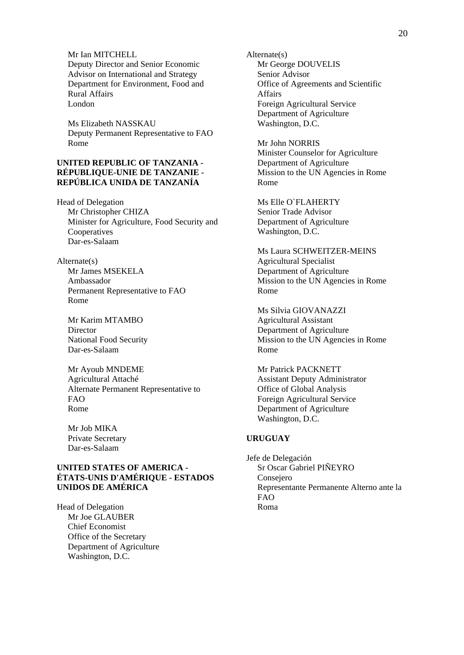Mr Ian MITCHELL Deputy Director and Senior Economic Advisor on International and Strategy Department for Environment, Food and Rural Affairs London

Ms Elizabeth NASSKAU Deputy Permanent Representative to FAO Rome

## **UNITED REPUBLIC OF TANZANIA - RÉPUBLIQUE-UNIE DE TANZANIE - REPÚBLICA UNIDA DE TANZANÍA**

Head of Delegation Mr Christopher CHIZA Minister for Agriculture, Food Security and Cooperatives Dar-es-Salaam

Alternate(s) Mr James MSEKELA Ambassador Permanent Representative to FAO Rome

Mr Karim MTAMBO **Director** National Food Security Dar-es-Salaam

Mr Ayoub MNDEME Agricultural Attaché Alternate Permanent Representative to FAO Rome

Mr Job MIKA Private Secretary Dar-es-Salaam

## **UNITED STATES OF AMERICA - ÉTATS-UNIS D'AMÉRIQUE - ESTADOS UNIDOS DE AMÉRICA**

Head of Delegation Mr Joe GLAUBER Chief Economist Office of the Secretary Department of Agriculture Washington, D.C.

Alternate(s) Mr George DOUVELIS Senior Advisor Office of Agreements and Scientific Affairs Foreign Agricultural Service Department of Agriculture Washington, D.C.

Mr John NORRIS Minister Counselor for Agriculture Department of Agriculture Mission to the UN Agencies in Rome Rome

Ms Elle O`FLAHERTY Senior Trade Advisor Department of Agriculture Washington, D.C.

Ms Laura SCHWEITZER-MEINS Agricultural Specialist Department of Agriculture Mission to the UN Agencies in Rome Rome

Ms Silvia GIOVANAZZI Agricultural Assistant Department of Agriculture Mission to the UN Agencies in Rome Rome

Mr Patrick PACKNETT Assistant Deputy Administrator Office of Global Analysis Foreign Agricultural Service Department of Agriculture Washington, D.C.

## **URUGUAY**

Jefe de Delegación Sr Oscar Gabriel PIÑEYRO Consejero Representante Permanente Alterno ante la FAO Roma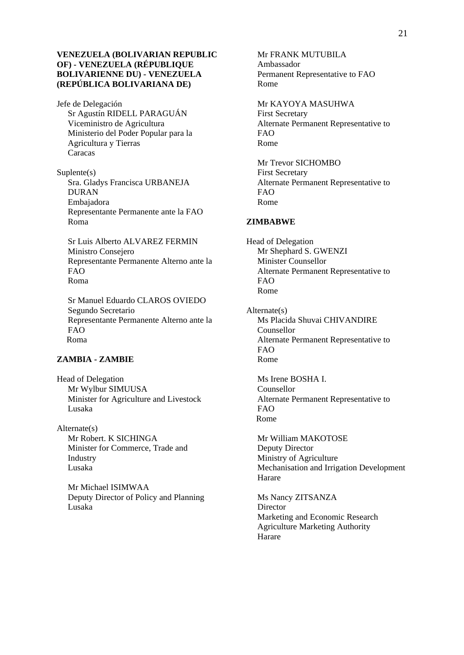#### **VENEZUELA (BOLIVARIAN REPUBLIC OF) - VENEZUELA (RÉPUBLIQUE BOLIVARIENNE DU) - VENEZUELA (REPÚBLICA BOLIVARIANA DE)**

Jefe de Delegación Sr Agustín RIDELL PARAGUÁN Viceministro de Agricultura Ministerio del Poder Popular para la Agricultura y Tierras Caracas

Suplente(s) Sra. Gladys Francisca URBANEJA DURAN Embajadora Representante Permanente ante la FAO Roma

Sr Luis Alberto ALVAREZ FERMIN Ministro Consejero Representante Permanente Alterno ante la FAO Roma

Sr Manuel Eduardo CLAROS OVIEDO Segundo Secretario Representante Permanente Alterno ante la FAO Roma

# **ZAMBIA - ZAMBIE**

Head of Delegation Mr Wylbur SIMUUSA Minister for Agriculture and Livestock Lusaka

Alternate(s) Mr Robert. K SICHINGA Minister for Commerce, Trade and Industry Lusaka

Mr Michael ISIMWAA Deputy Director of Policy and Planning Lusaka

Mr FRANK MUTUBILA Ambassador Permanent Representative to FAO Rome

Mr KAYOYA MASUHWA First Secretary Alternate Permanent Representative to FAO Rome

Mr Trevor SICHOMBO First Secretary Alternate Permanent Representative to FAO Rome

#### **ZIMBABWE**

Head of Delegation Mr Shephard S. GWENZI Minister Counsellor Alternate Permanent Representative to  $FAO$ Rome

Alternate(s) Ms Placida Shuvai CHIVANDIRE Counsellor Alternate Permanent Representative to FAO Rome

Ms Irene BOSHA I. Counsellor Alternate Permanent Representative to FAO Rome

Mr William MAKOTOSE Deputy Director Ministry of Agriculture Mechanisation and Irrigation Development Harare

Ms Nancy ZITSANZA **Director** Marketing and Economic Research Agriculture Marketing Authority Harare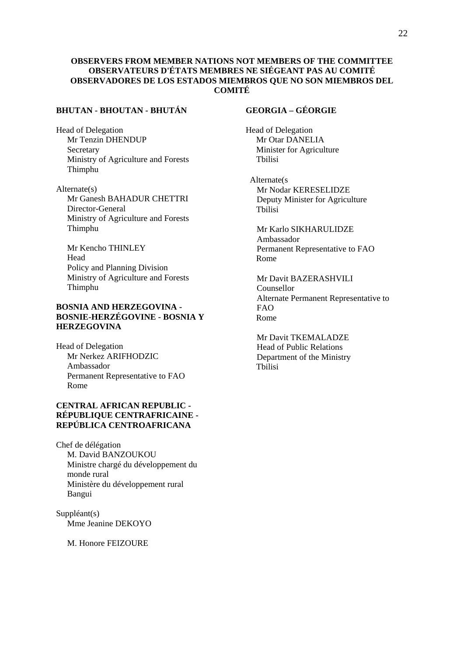#### **OBSERVERS FROM MEMBER NATIONS NOT MEMBERS OF THE COMMITTEE OBSERVATEURS D'ÉTATS MEMBRES NE SIÉGEANT PAS AU COMITÉ OBSERVADORES DE LOS ESTADOS MIEMBROS QUE NO SON MIEMBROS DEL COMITÉ**

## **BHUTAN - BHOUTAN - BHUTÁN**

Head of Delegation Mr Tenzin DHENDUP Secretary Ministry of Agriculture and Forests Thimphu

Alternate(s) Mr Ganesh BAHADUR CHETTRI Director-General Ministry of Agriculture and Forests Thimphu

Mr Kencho THINLEY Head Policy and Planning Division Ministry of Agriculture and Forests Thimphu

## **BOSNIA AND HERZEGOVINA - BOSNIE-HERZÉGOVINE - BOSNIA Y HERZEGOVINA**

Head of Delegation Mr Nerkez ARIFHODZIC Ambassador Permanent Representative to FAO Rome

## **CENTRAL AFRICAN REPUBLIC - RÉPUBLIQUE CENTRAFRICAINE - REPÚBLICA CENTROAFRICANA**

Chef de délégation M. David BANZOUKOU Ministre chargé du développement du monde rural Ministère du développement rural Bangui

Suppléant(s) Mme Jeanine DEKOYO

M. Honore FEIZOURE

## **GEORGIA – GÉORGIE**

Head of Delegation Mr Otar DANELIA Minister for Agriculture Tbilisi

Alternate(s Mr Nodar KERESELIDZE Deputy Minister for Agriculture Tbilisi

Mr Karlo SIKHARULIDZE Ambassador Permanent Representative to FAO Rome

Mr Davit BAZERASHVILI Counsellor Alternate Permanent Representative to FAO Rome

Mr Davit TKEMALADZE Head of Public Relations Department of the Ministry Tbilisi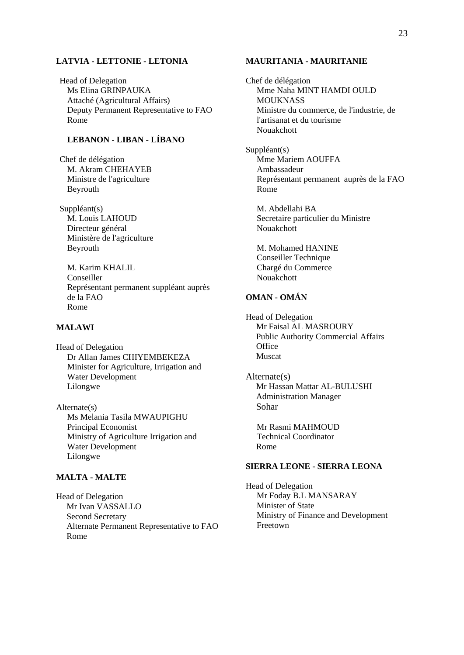#### **LATVIA - LETTONIE - LETONIA**

Head of Delegation Ms Elina GRINPAUKA Attaché (Agricultural Affairs) Deputy Permanent Representative to FAO Rome

# **LEBANON - LIBAN - LÍBANO**

Chef de délégation M. Akram CHEHAYEB Ministre de l'agriculture Beyrouth

Suppléant(s) M. Louis LAHOUD Directeur général Ministère de l'agriculture Beyrouth

M. Karim KHALIL Conseiller Représentant permanent suppléant auprès de la FAO Rome

## **MALAWI**

Head of Delegation Dr Allan James CHIYEMBEKEZA Minister for Agriculture, Irrigation and Water Development Lilongwe

Alternate(s) Ms Melania Tasila MWAUPIGHU Principal Economist Ministry of Agriculture Irrigation and Water Development Lilongwe

## **MALTA - MALTE**

Head of Delegation Mr Ivan VASSALLO Second Secretary Alternate Permanent Representative to FAO Rome

#### **MAURITANIA - MAURITANIE**

Chef de délégation Mme Naha MINT HAMDI OULD **MOUKNASS** Ministre du commerce, de l'industrie, de l'artisanat et du tourisme Nouakchott

Suppléant(s) Mme Mariem AOUFFA Ambassadeur Représentant permanent auprès de la FAO Rome

M. Abdellahi BA Secretaire particulier du Ministre Nouakchott

M. Mohamed HANINE Conseiller Technique Chargé du Commerce Nouakchott

## **OMAN - OMÁN**

Head of Delegation Mr Faisal AL MASROURY Public Authority Commercial Affairs **Office** Muscat

Alternate(s) Mr Hassan Mattar AL-BULUSHI Administration Manager Sohar

Mr Rasmi MAHMOUD Technical Coordinator Rome

#### **SIERRA LEONE - SIERRA LEONA**

Head of Delegation Mr Foday B.L MANSARAY Minister of State Ministry of Finance and Development Freetown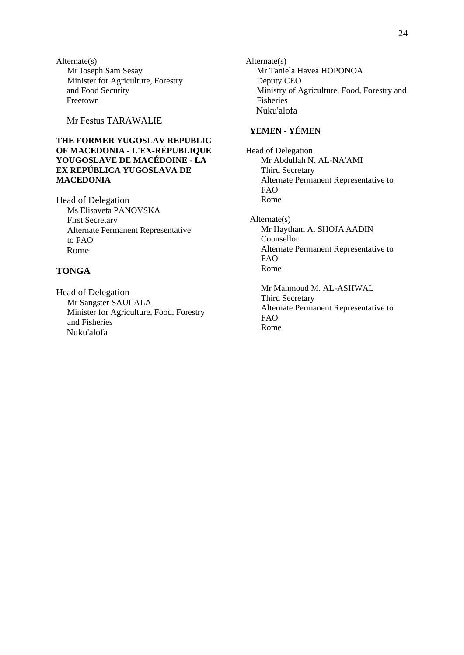Alternate(s) Mr Joseph Sam Sesay Minister for Agriculture, Forestry and Food Security Freetown

Mr Festus TARAWALIE

## **THE FORMER YUGOSLAV REPUBLIC OF MACEDONIA - L'EX-RÉPUBLIQUE YOUGOSLAVE DE MACÉDOINE - LA EX REPÚBLICA YUGOSLAVA DE MACEDONIA**

Head of Delegation Ms Elisaveta PANOVSKA First Secretary Alternate Permanent Representative to FAO Rome

# **TONGA**

Head of Delegation Mr Sangster SAULALA Minister for Agriculture, Food, Forestry and Fisheries Nuku'alofa

Alternate(s) Mr Taniela Havea HOPONOA Deputy CEO Ministry of Agriculture, Food, Forestry and Fisheries Nuku'alofa

## **YEMEN - YÉMEN**

Head of Delegation Mr Abdullah N. AL-NA'AMI Third Secretary Alternate Permanent Representative to FAO Rome

Alternate(s) Mr Haytham A. SHOJA'AADIN Counsellor Alternate Permanent Representative to FAO Rome

Mr Mahmoud M. AL-ASHWAL Third Secretary Alternate Permanent Representative to FAO Rome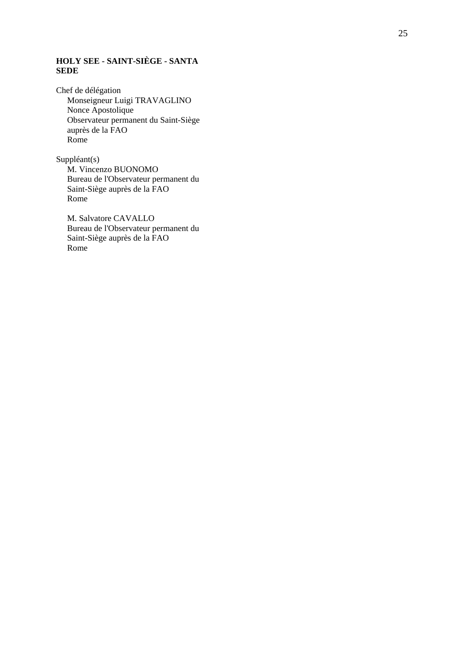# **HOLY SEE - SAINT-SIÈGE - SANTA SEDE**

Chef de délégation Monseigneur Luigi TRAVAGLINO Nonce Apostolique Observateur permanent du Saint-Siège auprès de la FAO Rome

Suppléant(s) M. Vincenzo BUONOMO Bureau de l'Observateur permanent du Saint-Siège auprès de la FAO Rome

M. Salvatore CAVALLO Bureau de l'Observateur permanent du Saint-Siège auprès de la FAO Rome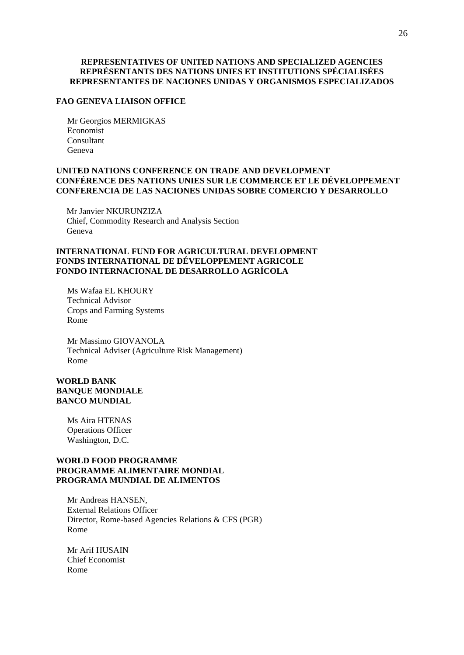#### **REPRESENTATIVES OF UNITED NATIONS AND SPECIALIZED AGENCIES REPRÉSENTANTS DES NATIONS UNIES ET INSTITUTIONS SPÉCIALISÉES REPRESENTANTES DE NACIONES UNIDAS Y ORGANISMOS ESPECIALIZADOS**

#### **FAO GENEVA LIAISON OFFICE**

Mr Georgios MERMIGKAS Economist Consultant Geneva

## **UNITED NATIONS CONFERENCE ON TRADE AND DEVELOPMENT CONFÉRENCE DES NATIONS UNIES SUR LE COMMERCE ET LE DÉVELOPPEMENT CONFERENCIA DE LAS NACIONES UNIDAS SOBRE COMERCIO Y DESARROLLO**

Mr Janvier NKURUNZIZA Chief, Commodity Research and Analysis Section Geneva

## **INTERNATIONAL FUND FOR AGRICULTURAL DEVELOPMENT FONDS INTERNATIONAL DE DÉVELOPPEMENT AGRICOLE FONDO INTERNACIONAL DE DESARROLLO AGRÍCOLA**

Ms Wafaa EL KHOURY Technical Advisor Crops and Farming Systems Rome

Mr Massimo GIOVANOLA Technical Adviser (Agriculture Risk Management) Rome

## **WORLD BANK BANQUE MONDIALE BANCO MUNDIAL**

Ms Aira HTENAS Operations Officer Washington, D.C.

#### **WORLD FOOD PROGRAMME PROGRAMME ALIMENTAIRE MONDIAL PROGRAMA MUNDIAL DE ALIMENTOS**

Mr Andreas HANSEN, External Relations Officer Director, Rome-based Agencies Relations & CFS (PGR) Rome

Mr Arif HUSAIN Chief Economist Rome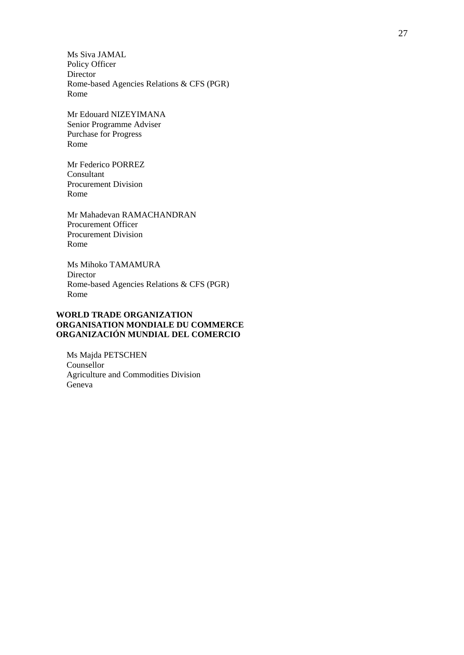Ms Siva JAMAL Policy Officer Director Rome-based Agencies Relations & CFS (PGR) Rome

Mr Edouard NIZEYIMANA Senior Programme Adviser Purchase for Progress Rome

Mr Federico PORREZ Consultant Procurement Division Rome

Mr Mahadevan RAMACHANDRAN Procurement Officer Procurement Division Rome

Ms Mihoko TAMAMURA Director Rome-based Agencies Relations & CFS (PGR) Rome

#### **WORLD TRADE ORGANIZATION ORGANISATION MONDIALE DU COMMERCE ORGANIZACIÓN MUNDIAL DEL COMERCIO**

Ms Majda PETSCHEN Counsellor Agriculture and Commodities Division Geneva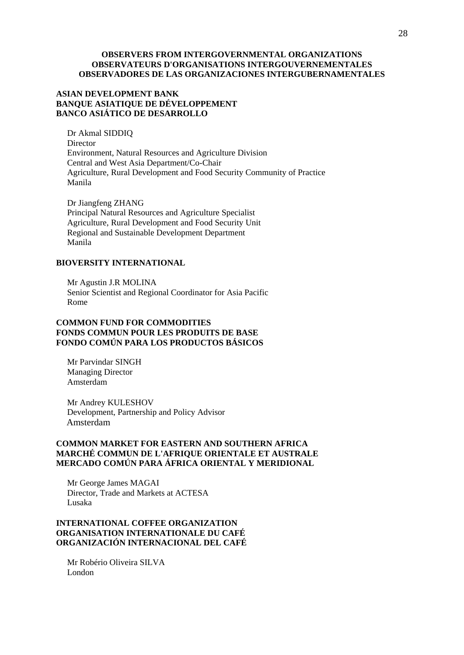#### **OBSERVERS FROM INTERGOVERNMENTAL ORGANIZATIONS OBSERVATEURS D'ORGANISATIONS INTERGOUVERNEMENTALES OBSERVADORES DE LAS ORGANIZACIONES INTERGUBERNAMENTALES**

## **ASIAN DEVELOPMENT BANK BANQUE ASIATIQUE DE DÉVELOPPEMENT BANCO ASIÁTICO DE DESARROLLO**

Dr Akmal SIDDIQ Director Environment, Natural Resources and Agriculture Division Central and West Asia Department/Co-Chair Agriculture, Rural Development and Food Security Community of Practice Manila

Dr Jiangfeng ZHANG Principal Natural Resources and Agriculture Specialist Agriculture, Rural Development and Food Security Unit Regional and Sustainable Development Department Manila

#### **BIOVERSITY INTERNATIONAL**

Mr Agustin J.R MOLINA Senior Scientist and Regional Coordinator for Asia Pacific Rome

## **COMMON FUND FOR COMMODITIES FONDS COMMUN POUR LES PRODUITS DE BASE FONDO COMÚN PARA LOS PRODUCTOS BÁSICOS**

Mr Parvindar SINGH Managing Director Amsterdam

Mr Andrey KULESHOV Development, Partnership and Policy Advisor Amsterdam

#### **COMMON MARKET FOR EASTERN AND SOUTHERN AFRICA MARCHÉ COMMUN DE L'AFRIQUE ORIENTALE ET AUSTRALE MERCADO COMÚN PARA ÁFRICA ORIENTAL Y MERIDIONAL**

Mr George James MAGAI Director, Trade and Markets at ACTESA Lusaka

## **INTERNATIONAL COFFEE ORGANIZATION ORGANISATION INTERNATIONALE DU CAFÉ ORGANIZACIÓN INTERNACIONAL DEL CAFÉ**

Mr Robério Oliveira SILVA London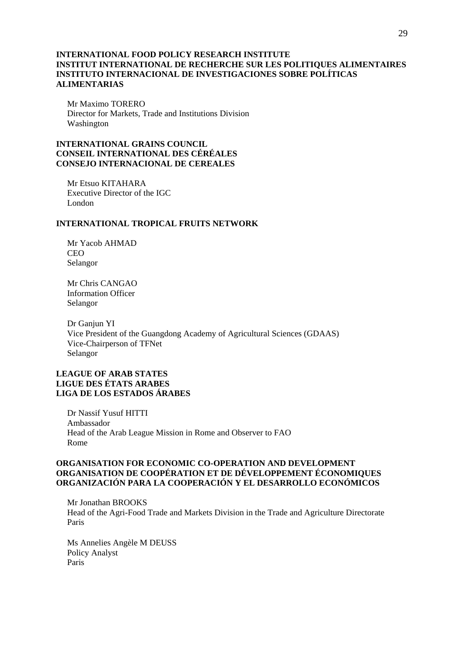#### **INTERNATIONAL FOOD POLICY RESEARCH INSTITUTE INSTITUT INTERNATIONAL DE RECHERCHE SUR LES POLITIQUES ALIMENTAIRES INSTITUTO INTERNACIONAL DE INVESTIGACIONES SOBRE POLÍTICAS ALIMENTARIAS**

Mr Maximo TORERO Director for Markets, Trade and Institutions Division Washington

## **INTERNATIONAL GRAINS COUNCIL CONSEIL INTERNATIONAL DES CÉRÉALES CONSEJO INTERNACIONAL DE CEREALES**

Mr Etsuo KITAHARA Executive Director of the IGC London

#### **INTERNATIONAL TROPICAL FRUITS NETWORK**

Mr Yacob AHMAD CEO Selangor

Mr Chris CANGAO Information Officer Selangor

Dr Ganjun YI Vice President of the Guangdong Academy of Agricultural Sciences (GDAAS) Vice-Chairperson of TFNet Selangor

## **LEAGUE OF ARAB STATES LIGUE DES ÉTATS ARABES LIGA DE LOS ESTADOS ÁRABES**

Dr Nassif Yusuf HITTI Ambassador Head of the Arab League Mission in Rome and Observer to FAO Rome

#### **ORGANISATION FOR ECONOMIC CO-OPERATION AND DEVELOPMENT ORGANISATION DE COOPÉRATION ET DE DÉVELOPPEMENT ÉCONOMIQUES ORGANIZACIÓN PARA LA COOPERACIÓN Y EL DESARROLLO ECONÓMICOS**

Mr Jonathan BROOKS Head of the Agri-Food Trade and Markets Division in the Trade and Agriculture Directorate Paris

Ms Annelies Angèle M DEUSS Policy Analyst Paris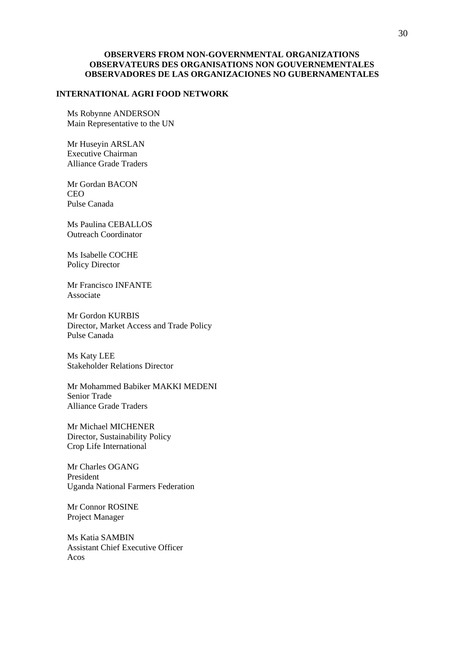#### **OBSERVERS FROM NON-GOVERNMENTAL ORGANIZATIONS OBSERVATEURS DES ORGANISATIONS NON GOUVERNEMENTALES OBSERVADORES DE LAS ORGANIZACIONES NO GUBERNAMENTALES**

#### **INTERNATIONAL AGRI FOOD NETWORK**

Ms Robynne ANDERSON Main Representative to the UN

Mr Huseyin ARSLAN Executive Chairman Alliance Grade Traders

Mr Gordan BACON CEO Pulse Canada

Ms Paulina CEBALLOS Outreach Coordinator

Ms Isabelle COCHE Policy Director

Mr Francisco INFANTE Associate

Mr Gordon KURBIS Director, Market Access and Trade Policy Pulse Canada

Ms Katy LEE Stakeholder Relations Director

Mr Mohammed Babiker MAKKI MEDENI Senior Trade Alliance Grade Traders

Mr Michael MICHENER Director, Sustainability Policy Crop Life International

Mr Charles OGANG President Uganda National Farmers Federation

Mr Connor ROSINE Project Manager

Ms Katia SAMBIN Assistant Chief Executive Officer Acos